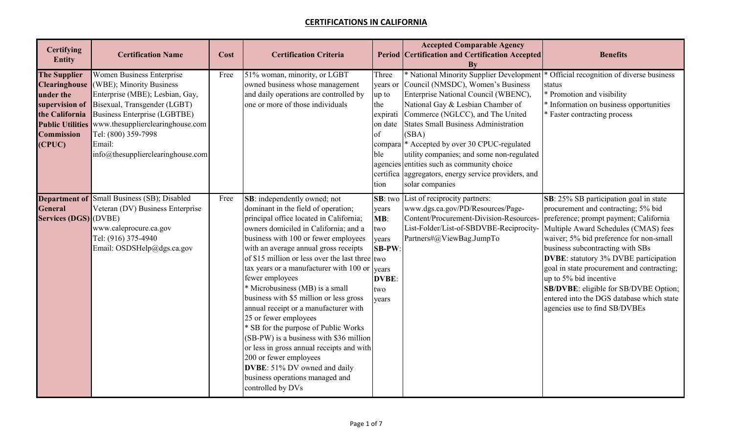| <b>Certifying</b><br><b>Entity</b>                                                                                                                     | <b>Certification Name</b>                                                                                                                                                                                                                                                        | Cost | <b>Certification Criteria</b>                                                                                                                                                                                                                                                                                                                                                                                                                                                                                                                                                                                                                                                                                                                                           |                                                                                          | <b>Accepted Comparable Agency</b><br><b>Period Certification and Certification Accepted</b><br><b>By</b>                                                                                                                                                                                                                                                                                                                                                             | <b>Benefits</b>                                                                                                                                                                                                                                                                                                                                                                                                                                                                        |
|--------------------------------------------------------------------------------------------------------------------------------------------------------|----------------------------------------------------------------------------------------------------------------------------------------------------------------------------------------------------------------------------------------------------------------------------------|------|-------------------------------------------------------------------------------------------------------------------------------------------------------------------------------------------------------------------------------------------------------------------------------------------------------------------------------------------------------------------------------------------------------------------------------------------------------------------------------------------------------------------------------------------------------------------------------------------------------------------------------------------------------------------------------------------------------------------------------------------------------------------------|------------------------------------------------------------------------------------------|----------------------------------------------------------------------------------------------------------------------------------------------------------------------------------------------------------------------------------------------------------------------------------------------------------------------------------------------------------------------------------------------------------------------------------------------------------------------|----------------------------------------------------------------------------------------------------------------------------------------------------------------------------------------------------------------------------------------------------------------------------------------------------------------------------------------------------------------------------------------------------------------------------------------------------------------------------------------|
| <b>The Supplier</b><br><b>Clearinghouse</b><br>under the<br>supervision of<br>the California<br><b>Public Utilities</b><br><b>Commission</b><br>(CPUC) | <b>Women Business Enterprise</b><br>(WBE); Minority Business<br>Enterprise (MBE); Lesbian, Gay,<br>Bisexual, Transgender (LGBT)<br><b>Business Enterprise (LGBTBE)</b><br>www.thesupplierclearinghouse.com<br>Tel: (800) 359-7998<br>Email:<br>info@thesupplierclearinghouse.com | Free | 51% woman, minority, or LGBT<br>owned business whose management<br>and daily operations are controlled by<br>one or more of those individuals                                                                                                                                                                                                                                                                                                                                                                                                                                                                                                                                                                                                                           | Three<br>years or<br>up to<br>the<br>expirati<br>on date<br>of<br>compara<br>ble<br>tion | * National Minority Supplier Development<br>Council (NMSDC), Women's Business<br>Enterprise National Council (WBENC),<br>National Gay & Lesbian Chamber of<br>Commerce (NGLCC), and The United<br><b>States Small Business Administration</b><br>(SBA)<br>* Accepted by over 30 CPUC-regulated<br>utility companies; and some non-regulated<br>agencies entities such as community choice<br>certifica aggregators, energy service providers, and<br>solar companies | * Official recognition of diverse business<br>status<br>* Promotion and visibility<br>* Information on business opportunities<br>* Faster contracting process                                                                                                                                                                                                                                                                                                                          |
| <b>Department of</b><br><b>General</b><br><b>Services (DGS)</b> (DVBE)                                                                                 | Small Business (SB); Disabled<br>Veteran (DV) Business Enterprise<br>www.caleprocure.ca.gov<br>Tel: (916) 375-4940<br>Email: OSDSHelp@dgs.ca.gov                                                                                                                                 | Free | SB: independently owned; not<br>dominant in the field of operation;<br>principal office located in California;<br>owners domiciled in California; and a<br>business with 100 or fewer employees<br>with an average annual gross receipts<br>of \$15 million or less over the last three $ $ two<br>tax years or a manufacturer with $100$ or years<br>fewer employees<br>* Microbusiness (MB) is a small<br>business with \$5 million or less gross<br>annual receipt or a manufacturer with<br>25 or fewer employees<br>* SB for the purpose of Public Works<br>(SB-PW) is a business with \$36 million<br>or less in gross annual receipts and with<br>200 or fewer employees<br>DVBE: 51% DV owned and daily<br>business operations managed and<br>controlled by DVs | SB: two<br>years<br>MB:<br>two<br>years<br><b>SB-PW</b><br><b>DVBE:</b><br>two<br>years  | List of reciprocity partners:<br>www.dgs.ca.gov/PD/Resources/Page-<br>Content/Procurement-Division-Resources-<br>List-Folder/List-of-SBDVBE-Reciprocity-<br>Partners#@ViewBag.JumpTo                                                                                                                                                                                                                                                                                 | SB: 25% SB participation goal in state<br>procurement and contracting; 5% bid<br>preference; prompt payment; California<br>Multiple Award Schedules (CMAS) fees<br>waiver; 5% bid preference for non-small<br>business subcontracting with SBs<br>DVBE: statutory 3% DVBE participation<br>goal in state procurement and contracting;<br>up to 5% bid incentive<br>SB/DVBE: eligible for SB/DVBE Option;<br>entered into the DGS database which state<br>agencies use to find SB/DVBEs |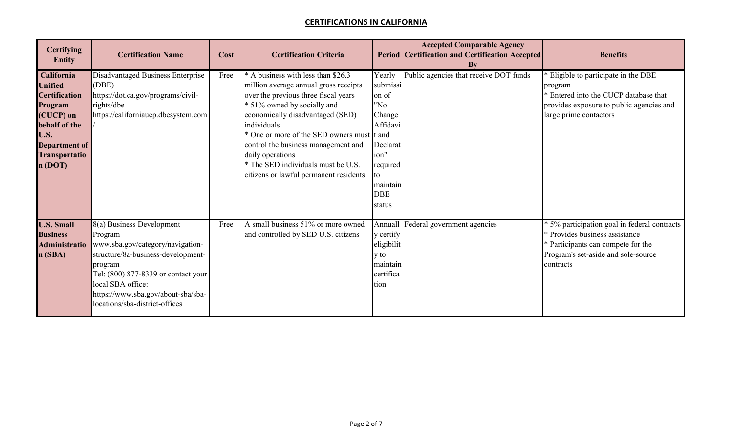| <b>Certifying</b><br><b>Entity</b>                                                                                                                              | <b>Certification Name</b>                                                                                                                                                                                                                                     | Cost | <b>Certification Criteria</b>                                                                                                                                                                                                                                                                                                                                                                  |                                                                                                                                    | <b>Accepted Comparable Agency</b><br><b>Period Certification and Certification Accepted</b><br>By | <b>Benefits</b>                                                                                                                                                          |
|-----------------------------------------------------------------------------------------------------------------------------------------------------------------|---------------------------------------------------------------------------------------------------------------------------------------------------------------------------------------------------------------------------------------------------------------|------|------------------------------------------------------------------------------------------------------------------------------------------------------------------------------------------------------------------------------------------------------------------------------------------------------------------------------------------------------------------------------------------------|------------------------------------------------------------------------------------------------------------------------------------|---------------------------------------------------------------------------------------------------|--------------------------------------------------------------------------------------------------------------------------------------------------------------------------|
| California<br><b>Unified</b><br><b>Certification</b><br>Program<br>(CUCP) on<br>behalf of the<br>U.S.<br><b>Department of</b><br><b>Transportatio</b><br>n(DOT) | Disadvantaged Business Enterprise<br>(DBE)<br>https://dot.ca.gov/programs/civil-<br>rights/dbe<br>https://californiaucp.dbesystem.com                                                                                                                         | Free | * A business with less than \$26.3<br>million average annual gross receipts<br>over the previous three fiscal years<br>* 51% owned by socially and<br>economically disadvantaged (SED)<br>individuals<br>* One or more of the SED owners must t and<br>control the business management and<br>daily operations<br>* The SED individuals must be U.S.<br>citizens or lawful permanent residents | Yearly<br>submissi<br>on of<br>"No<br>Change<br>Affidavi<br>Declarat<br>ion"<br>required<br>to<br>maintain<br><b>DBE</b><br>status | Public agencies that receive DOT funds                                                            | * Eligible to participate in the DBE<br>program<br>* Entered into the CUCP database that<br>provides exposure to public agencies and<br>large prime contactors           |
| <b>U.S. Small</b><br><b>Business</b><br><b>Administratio</b><br>n(SBA)                                                                                          | 8(a) Business Development<br>Program<br>www.sba.gov/category/navigation-<br>structure/8a-business-development-<br>program<br>Tel: (800) 877-8339 or contact your<br>local SBA office:<br>https://www.sba.gov/about-sba/sba-<br>locations/sba-district-offices | Free | A small business 51% or more owned<br>and controlled by SED U.S. citizens                                                                                                                                                                                                                                                                                                                      | Annuall<br>y certify<br>eligibilit<br>y to<br>maintain<br>certifica<br>tion                                                        | Federal government agencies                                                                       | * 5% participation goal in federal contracts<br>* Provides business assistance<br>* Participants can compete for the<br>Program's set-aside and sole-source<br>contracts |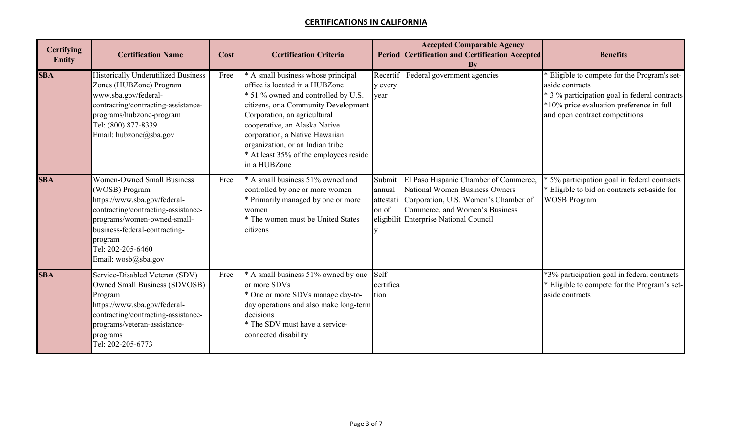| <b>Certifying</b><br><b>Entity</b> | <b>Certification Name</b>                                                                                                                                                                                                                         | Cost | <b>Certification Criteria</b>                                                                                                                                                                                                                                                                                                                        |                                        | <b>Accepted Comparable Agency</b><br><b>Period Certification and Certification Accepted</b><br>By                                                                                                  | <b>Benefits</b>                                                                                                                                                                              |
|------------------------------------|---------------------------------------------------------------------------------------------------------------------------------------------------------------------------------------------------------------------------------------------------|------|------------------------------------------------------------------------------------------------------------------------------------------------------------------------------------------------------------------------------------------------------------------------------------------------------------------------------------------------------|----------------------------------------|----------------------------------------------------------------------------------------------------------------------------------------------------------------------------------------------------|----------------------------------------------------------------------------------------------------------------------------------------------------------------------------------------------|
| <b>SBA</b>                         | <b>Historically Underutilized Business</b><br>Zones (HUBZone) Program<br>www.sba.gov/federal-<br>contracting/contracting-assistance-<br>programs/hubzone-program<br>Tel: (800) 877-8339<br>Email: hubzone@sba.gov                                 | Free | * A small business whose principal<br>office is located in a HUBZone<br>* 51 % owned and controlled by U.S.<br>citizens, or a Community Development<br>Corporation, an agricultural<br>cooperative, an Alaska Native<br>corporation, a Native Hawaiian<br>organization, or an Indian tribe<br>* At least 35% of the employees reside<br>in a HUBZone | Recertif<br>y every<br>year            | Federal government agencies                                                                                                                                                                        | Eligible to compete for the Program's set-<br>aside contracts<br>* 3 % participation goal in federal contracts<br>*10% price evaluation preference in full<br>and open contract competitions |
| <b>SBA</b>                         | <b>Women-Owned Small Business</b><br>(WOSB) Program<br>https://www.sba.gov/federal-<br>contracting/contracting-assistance-<br>programs/women-owned-small-<br>business-federal-contracting-<br>program<br>Tel: 202-205-6460<br>Email: wosb@sba.gov | Free | * A small business 51% owned and<br>controlled by one or more women<br>* Primarily managed by one or more<br>women<br>* The women must be United States<br>citizens                                                                                                                                                                                  | Submit<br>annual<br>attestati<br>on of | El Paso Hispanic Chamber of Commerce,<br><b>National Women Business Owners</b><br>Corporation, U.S. Women's Chamber of<br>Commerce, and Women's Business<br>eligibilit Enterprise National Council | * 5% participation goal in federal contracts<br>* Eligible to bid on contracts set-aside for<br><b>WOSB Program</b>                                                                          |
| <b>SBA</b>                         | Service-Disabled Veteran (SDV)<br><b>Owned Small Business (SDVOSB)</b><br>Program<br>https://www.sba.gov/federal-<br>contracting/contracting-assistance-<br>programs/veteran-assistance-<br>programs<br>Tel: 202-205-6773                         | Free | * A small business 51% owned by one<br>or more SDVs<br>* One or more SDVs manage day-to-<br>day operations and also make long-term<br>decisions<br>* The SDV must have a service-<br>connected disability                                                                                                                                            | Self<br>certifica<br>tion              |                                                                                                                                                                                                    | *3% participation goal in federal contracts<br>* Eligible to compete for the Program's set-<br>aside contracts                                                                               |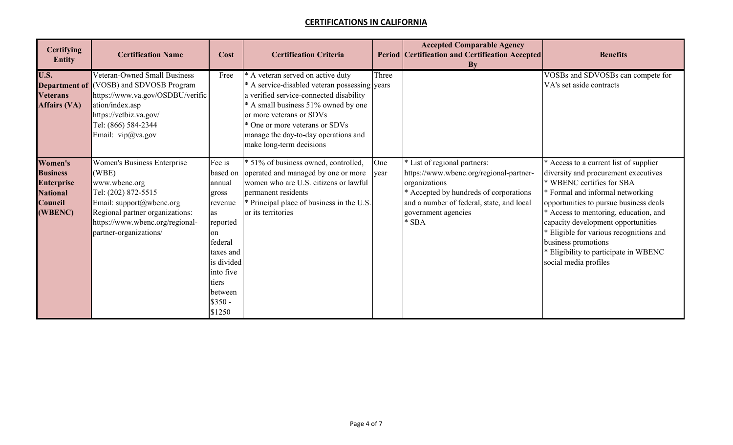| <b>Certifying</b><br><b>Entity</b>                                                              | <b>Certification Name</b>                                                                                                                                                                                       | Cost                                                                                                                                                      | <b>Certification Criteria</b>                                                                                                                                                                                                                                                                          |             | <b>Accepted Comparable Agency</b><br><b>Period Certification and Certification Accepted</b><br>$\mathbf{B}\mathbf{v}$                                                                                             | <b>Benefits</b>                                                                                                                                                                                                                                                                                                                                                                                              |
|-------------------------------------------------------------------------------------------------|-----------------------------------------------------------------------------------------------------------------------------------------------------------------------------------------------------------------|-----------------------------------------------------------------------------------------------------------------------------------------------------------|--------------------------------------------------------------------------------------------------------------------------------------------------------------------------------------------------------------------------------------------------------------------------------------------------------|-------------|-------------------------------------------------------------------------------------------------------------------------------------------------------------------------------------------------------------------|--------------------------------------------------------------------------------------------------------------------------------------------------------------------------------------------------------------------------------------------------------------------------------------------------------------------------------------------------------------------------------------------------------------|
| <b>U.S.</b><br><b>Veterans</b><br><b>Affairs (VA)</b>                                           | Veteran-Owned Small Business<br><b>Department of</b> (VOSB) and SDVOSB Program<br>https://www.va.gov/OSDBU/verific<br>ation/index.asp<br>https://vetbiz.va.gov/<br>Tel: (866) 584-2344<br>Email: vip@va.gov     | Free                                                                                                                                                      | * A veteran served on active duty<br>* A service-disabled veteran possessing years<br>a verified service-connected disability<br>* A small business 51% owned by one<br>or more veterans or SDVs<br>* One or more veterans or SDVs<br>manage the day-to-day operations and<br>make long-term decisions | Three       |                                                                                                                                                                                                                   | VOSBs and SDVOSBs can compete for<br>VA's set aside contracts                                                                                                                                                                                                                                                                                                                                                |
| Women's<br><b>Business</b><br><b>Enterprise</b><br><b>National</b><br><b>Council</b><br>(WBENC) | <b>Women's Business Enterprise</b><br>(WBE)<br>www.wbenc.org<br>Tel: (202) 872-5515<br>Email: support@wbenc.org<br>Regional partner organizations:<br>https://www.wbenc.org/regional-<br>partner-organizations/ | Fee is<br>annual<br>gross<br>revenue<br>as<br>reported<br>on<br>federal<br>taxes and<br>is divided<br>into five<br>tiers<br>between<br>$$350 -$<br>\$1250 | * 51% of business owned, controlled,<br>based on operated and managed by one or more<br>women who are U.S. citizens or lawful<br>permanent residents<br>* Principal place of business in the U.S.<br>or its territories                                                                                | One<br>year | * List of regional partners:<br>https://www.wbenc.org/regional-partner-<br>organizations<br>* Accepted by hundreds of corporations<br>and a number of federal, state, and local<br>government agencies<br>$*$ SBA | * Access to a current list of supplier<br>diversity and procurement executives<br>* WBENC certifies for SBA<br>* Formal and informal networking<br>opportunities to pursue business deals<br>* Access to mentoring, education, and<br>capacity development opportunities<br>* Eligible for various recognitions and<br>business promotions<br>* Eligibility to participate in WBENC<br>social media profiles |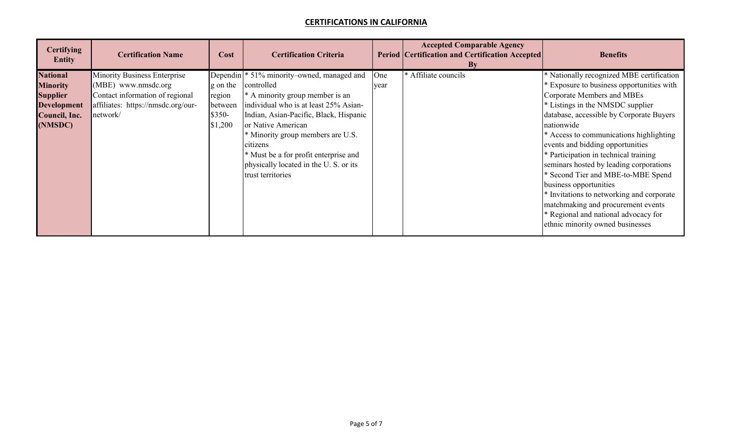| <b>Certifying</b><br><b>Entity</b>                                                                      | <b>Certification Name</b>                                                                                                                       | Cost                                                | <b>Certification Criteria</b>                                                                                                                                                                                                                                                                                                                      |             | <b>Accepted Comparable Agency</b><br><b>Period Certification and Certification Accepted</b><br>Bv | <b>Benefits</b>                                                                                                                                                                                                                                                                                                                                                                       |
|---------------------------------------------------------------------------------------------------------|-------------------------------------------------------------------------------------------------------------------------------------------------|-----------------------------------------------------|----------------------------------------------------------------------------------------------------------------------------------------------------------------------------------------------------------------------------------------------------------------------------------------------------------------------------------------------------|-------------|---------------------------------------------------------------------------------------------------|---------------------------------------------------------------------------------------------------------------------------------------------------------------------------------------------------------------------------------------------------------------------------------------------------------------------------------------------------------------------------------------|
| <b>National</b><br><b>Minority</b><br><b>Supplier</b><br><b>Development</b><br>Council, Inc.<br>(NMSDC) | <b>Minority Business Enterprise</b><br>(MBE) www.nmsdc.org<br>Contact information of regional<br>affiliates: https://nmsdc.org/our-<br>network/ | g on the<br>region<br>between<br>$$350-$<br>\$1,200 | Dependin <sup>*</sup> 51% minority–owned, managed and<br>controlled<br>* A minority group member is an<br>individual who is at least 25% Asian-<br>Indian, Asian-Pacific, Black, Hispanic<br>or Native American<br>* Minority group members are U.S.<br>citizens<br>* Must be a for profit enterprise and<br>physically located in the U.S. or its | One<br>year | * Affiliate councils                                                                              | * Nationally recognized MBE certification<br>* Exposure to business opportunities with<br>Corporate Members and MBEs<br>* Listings in the NMSDC supplier<br>database, accessible by Corporate Buyers<br>nationwide<br>* Access to communications highlighting<br>events and bidding opportunities<br>* Participation in technical training<br>seminars hosted by leading corporations |
|                                                                                                         |                                                                                                                                                 |                                                     | trust territories                                                                                                                                                                                                                                                                                                                                  |             |                                                                                                   | * Second Tier and MBE-to-MBE Spend<br>business opportunities<br>* Invitations to networking and corporate<br>matchmaking and procurement events<br>* Regional and national advocacy for<br>ethnic minority owned businesses                                                                                                                                                           |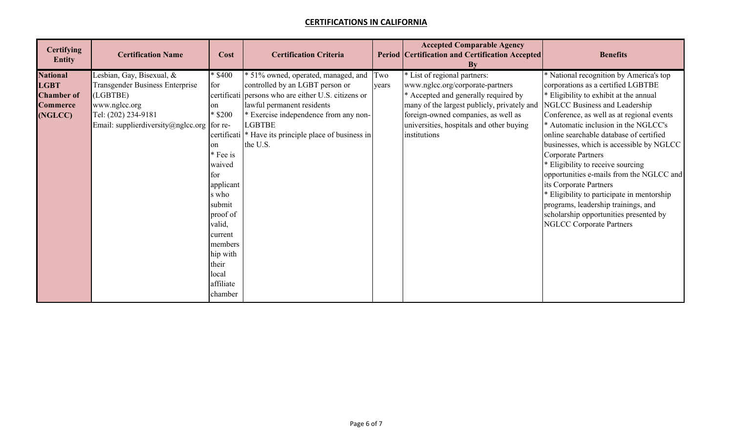| <b>Certifying</b><br><b>Entity</b> | <b>Certification Name</b>                  | Cost              | <b>Certification Criteria</b>                          |       | <b>Accepted Comparable Agency</b><br><b>Period Certification and Certification Accepted</b><br>By | <b>Benefits</b>                            |
|------------------------------------|--------------------------------------------|-------------------|--------------------------------------------------------|-------|---------------------------------------------------------------------------------------------------|--------------------------------------------|
| <b>National</b>                    | Lesbian, Gay, Bisexual, &                  | $\frac{1}{2}3400$ | * 51% owned, operated, managed, and                    | Two   | * List of regional partners:                                                                      | * National recognition by America's top    |
| <b>LGBT</b>                        | <b>Transgender Business Enterprise</b>     | for               | controlled by an LGBT person or                        | years | www.nglcc.org/corporate-partners                                                                  | corporations as a certified LGBTBE         |
| <b>Chamber of</b>                  | (LGBTBE)                                   |                   | certificati persons who are either U.S. citizens or    |       | * Accepted and generally required by                                                              | * Eligibility to exhibit at the annual     |
| <b>Commerce</b>                    | www.nglcc.org                              | on                | lawful permanent residents                             |       | many of the largest publicly, privately and                                                       | NGLCC Business and Leadership              |
| (NGLCC)                            | Tel: (202) 234-9181                        | \$200             | * Exercise independence from any non-                  |       | foreign-owned companies, as well as                                                               | Conference, as well as at regional events  |
|                                    | Email: supplierdiversity@nglcc.org for re- |                   | LGBTBE                                                 |       | universities, hospitals and other buying                                                          | * Automatic inclusion in the NGLCC's       |
|                                    |                                            |                   | certificati  * Have its principle place of business in |       | institutions                                                                                      | online searchable database of certified    |
|                                    |                                            | on                | the U.S.                                               |       |                                                                                                   | businesses, which is accessible by NGLCC   |
|                                    |                                            | Fee is            |                                                        |       |                                                                                                   | <b>Corporate Partners</b>                  |
|                                    |                                            | waived            |                                                        |       |                                                                                                   | * Eligibility to receive sourcing          |
|                                    |                                            | for               |                                                        |       |                                                                                                   | opportunities e-mails from the NGLCC and   |
|                                    |                                            | applicant         |                                                        |       |                                                                                                   | its Corporate Partners                     |
|                                    |                                            | s who             |                                                        |       |                                                                                                   | * Eligibility to participate in mentorship |
|                                    |                                            | submit            |                                                        |       |                                                                                                   | programs, leadership trainings, and        |
|                                    |                                            | proof of          |                                                        |       |                                                                                                   | scholarship opportunities presented by     |
|                                    |                                            | valid,            |                                                        |       |                                                                                                   | <b>NGLCC Corporate Partners</b>            |
|                                    |                                            | current           |                                                        |       |                                                                                                   |                                            |
|                                    |                                            | members           |                                                        |       |                                                                                                   |                                            |
|                                    |                                            | hip with          |                                                        |       |                                                                                                   |                                            |
|                                    |                                            | their             |                                                        |       |                                                                                                   |                                            |
|                                    |                                            | local             |                                                        |       |                                                                                                   |                                            |
|                                    |                                            | affiliate         |                                                        |       |                                                                                                   |                                            |
|                                    |                                            | chamber           |                                                        |       |                                                                                                   |                                            |